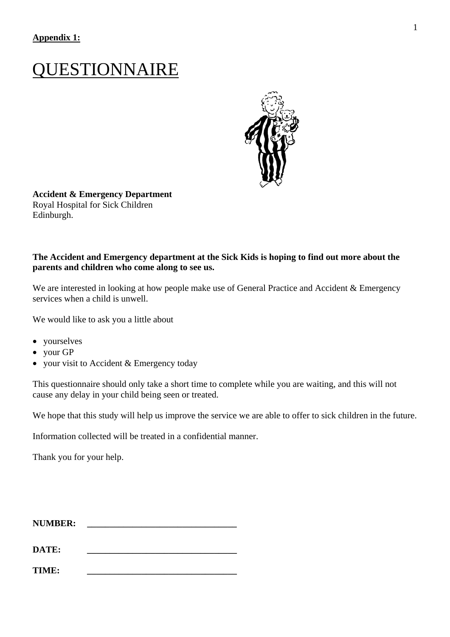# QUESTIONNAIRE



**Accident & Emergency Department**  Royal Hospital for Sick Children Edinburgh.

#### **The Accident and Emergency department at the Sick Kids is hoping to find out more about the parents and children who come along to see us.**

We are interested in looking at how people make use of General Practice and Accident & Emergency services when a child is unwell.

We would like to ask you a little about

- yourselves
- your GP
- your visit to Accident & Emergency today

This questionnaire should only take a short time to complete while you are waiting, and this will not cause any delay in your child being seen or treated.

We hope that this study will help us improve the service we are able to offer to sick children in the future.

Information collected will be treated in a confidential manner.

Thank you for your help.

| <b>NUMBER:</b> |  |
|----------------|--|
|----------------|--|

**DATE: \_\_\_\_\_\_\_\_\_\_\_\_\_\_\_\_\_\_\_\_\_\_\_\_\_\_\_\_\_\_\_\_\_** 

**TIME: \_\_\_\_\_\_\_\_\_\_\_\_\_\_\_\_\_\_\_\_\_\_\_\_\_\_\_\_\_\_\_\_\_**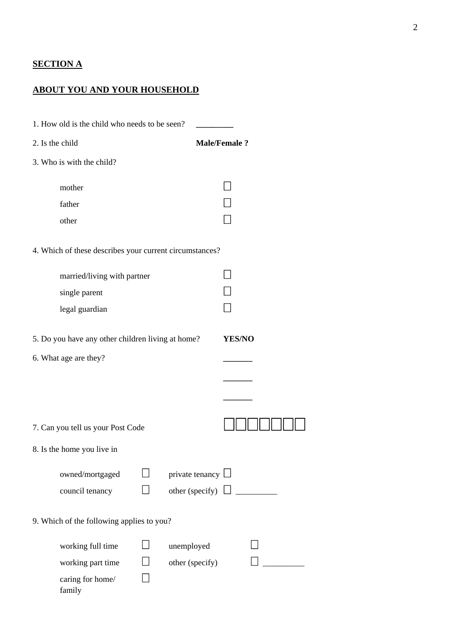## **SECTION A**

## **ABOUT YOU AND YOUR HOUSEHOLD**

| 1. How old is the child who needs to be seen?           |                        |                     |
|---------------------------------------------------------|------------------------|---------------------|
| 2. Is the child                                         |                        | <b>Male/Female?</b> |
| 3. Who is with the child?                               |                        |                     |
| mother                                                  |                        |                     |
| father                                                  |                        |                     |
| other                                                   |                        |                     |
| 4. Which of these describes your current circumstances? |                        |                     |
| married/living with partner                             |                        |                     |
| single parent                                           |                        |                     |
| legal guardian                                          |                        |                     |
| 5. Do you have any other children living at home?       |                        | <b>YES/NO</b>       |
| 6. What age are they?                                   |                        |                     |
|                                                         |                        |                     |
|                                                         |                        |                     |
| 7. Can you tell us your Post Code                       |                        |                     |
| 8. Is the home you live in                              |                        |                     |
| owned/mortgaged                                         | private tenancy $\Box$ |                     |
| council tenancy                                         | other (specify)        |                     |
| 9. Which of the following applies to you?               |                        |                     |
| working full time                                       | unemployed             |                     |
| working part time                                       | other (specify)        |                     |
| caring for home/<br>family                              |                        |                     |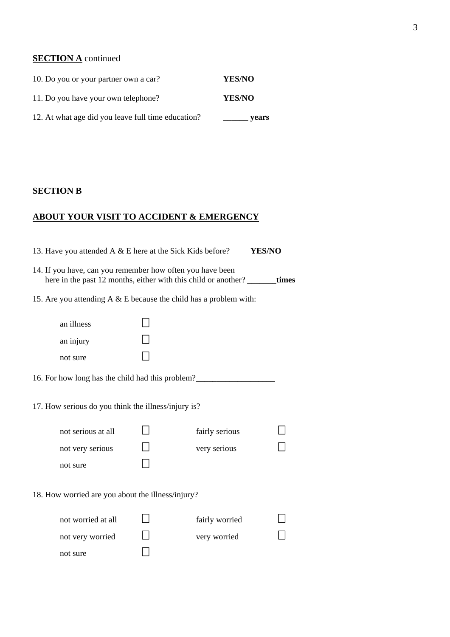## **SECTION A** continued

| 10. Do you or your partner own a car?              | <b>YES/NO</b> |
|----------------------------------------------------|---------------|
| 11. Do you have your own telephone?                | <b>YES/NO</b> |
| 12. At what age did you leave full time education? | vears         |

## **SECTION B**

## **ABOUT YOUR VISIT TO ACCIDENT & EMERGENCY**

|                                                                                                                                          | 13. Have you attended A & E here at the Sick Kids before?            |  |                                | YES/NO |
|------------------------------------------------------------------------------------------------------------------------------------------|----------------------------------------------------------------------|--|--------------------------------|--------|
| 14. If you have, can you remember how often you have been<br>here in the past 12 months, either with this child or another? _______times |                                                                      |  |                                |        |
|                                                                                                                                          | 15. Are you attending $A \& E$ because the child has a problem with: |  |                                |        |
|                                                                                                                                          | an illness<br>an injury<br>not sure                                  |  |                                |        |
|                                                                                                                                          | 16. For how long has the child had this problem?                     |  |                                |        |
|                                                                                                                                          | 17. How serious do you think the illness/injury is?                  |  |                                |        |
|                                                                                                                                          | not serious at all                                                   |  | fairly serious                 |        |
|                                                                                                                                          | not very serious                                                     |  | very serious                   |        |
|                                                                                                                                          | not sure                                                             |  |                                |        |
|                                                                                                                                          | 18. How worried are you about the illness/injury?                    |  |                                |        |
|                                                                                                                                          | not worried at all<br>not very worried<br>not sure                   |  | fairly worried<br>very worried |        |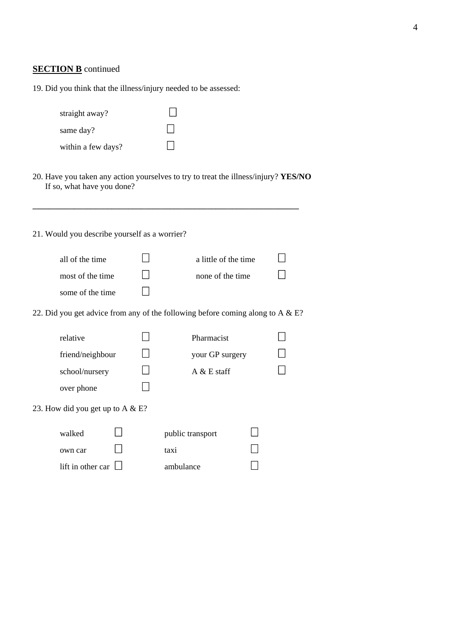#### 4

#### **SECTION B** continued

| 19. Did you think that the illness/injury needed to be assessed: |
|------------------------------------------------------------------|
|------------------------------------------------------------------|

| straight away?     |  |
|--------------------|--|
| same day?          |  |
| within a few days? |  |

20. Have you taken any action yourselves to try to treat the illness/injury? **YES/NO** If so, what have you done?

**\_\_\_\_\_\_\_\_\_\_\_\_\_\_\_\_\_\_\_\_\_\_\_\_\_\_\_\_\_\_\_\_\_\_\_\_\_\_\_\_\_\_\_\_\_\_\_\_\_\_\_\_\_\_\_\_\_\_\_\_\_\_\_\_** 

### 21. Would you describe yourself as a worrier?

| all of the time  | a little of the time |  |
|------------------|----------------------|--|
| most of the time | none of the time     |  |
| some of the time |                      |  |

22. Did you get advice from any of the following before coming along to A  $\&$  E?

| relative                            | Pharmacist             |  |
|-------------------------------------|------------------------|--|
| friend/neighbour                    | your GP surgery        |  |
| school/nursery                      | $A \& E \text{ staff}$ |  |
| over phone                          |                        |  |
| 23. How did you get up to A $& E$ ? |                        |  |
| walked                              | public transport       |  |
| own car                             | taxi                   |  |
| lift in other car                   | ambulance              |  |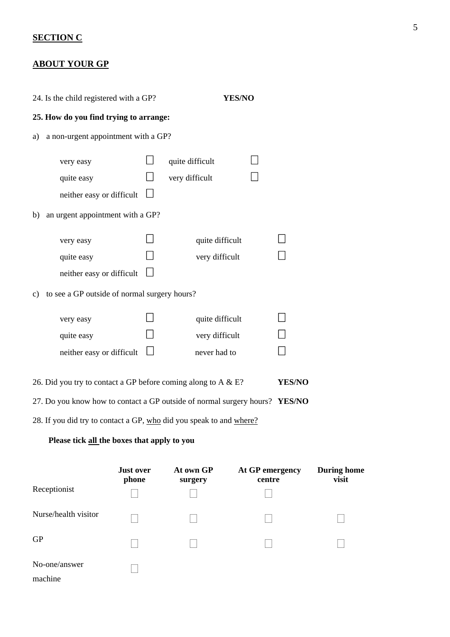## **SECTION C**

No-one/answer

 $\Box$ 

machine

## **ABOUT YOUR GP**

| 24. Is the child registered with a GP?                                      |                           |                                   | YES/NO                    |                             |
|-----------------------------------------------------------------------------|---------------------------|-----------------------------------|---------------------------|-----------------------------|
| 25. How do you find trying to arrange:                                      |                           |                                   |                           |                             |
| a non-urgent appointment with a GP?<br>a)                                   |                           |                                   |                           |                             |
| very easy<br>quite easy<br>neither easy or difficult                        |                           | quite difficult<br>very difficult |                           |                             |
| an urgent appointment with a GP?<br>b)                                      |                           |                                   |                           |                             |
| very easy<br>quite easy<br>neither easy or difficult                        |                           | quite difficult<br>very difficult |                           |                             |
| to see a GP outside of normal surgery hours?<br>c)                          |                           |                                   |                           |                             |
| very easy                                                                   |                           | quite difficult                   |                           |                             |
| quite easy                                                                  |                           | very difficult                    |                           |                             |
| neither easy or difficult                                                   |                           | never had to                      |                           |                             |
| 26. Did you try to contact a GP before coming along to A $\&$ E?            |                           |                                   | YES/NO                    |                             |
| 27. Do you know how to contact a GP outside of normal surgery hours? YES/NO |                           |                                   |                           |                             |
| 28. If you did try to contact a GP, who did you speak to and where?         |                           |                                   |                           |                             |
| Please tick all the boxes that apply to you                                 |                           |                                   |                           |                             |
| Receptionist                                                                | <b>Just over</b><br>phone | At own GP<br>surgery              | At GP emergency<br>centre | <b>During home</b><br>visit |
| Nurse/health visitor                                                        |                           |                                   |                           |                             |
| GP                                                                          |                           |                                   |                           |                             |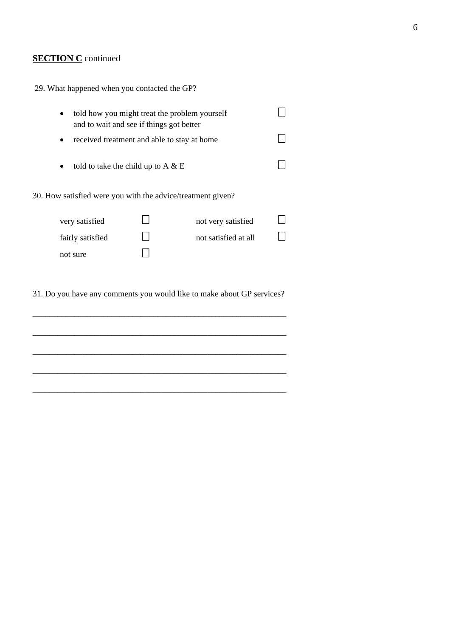## **SECTION C** continued

| 29. What happened when you contacted the GP?                                                           |  |                      |  |
|--------------------------------------------------------------------------------------------------------|--|----------------------|--|
| told how you might treat the problem yourself<br>$\bullet$<br>and to wait and see if things got better |  |                      |  |
| received treatment and able to stay at home<br>٠                                                       |  |                      |  |
| told to take the child up to A $\&$ E<br>$\bullet$                                                     |  |                      |  |
| 30. How satisfied were you with the advice/treatment given?                                            |  |                      |  |
| very satisfied                                                                                         |  | not very satisfied   |  |
| fairly satisfied                                                                                       |  | not satisfied at all |  |
| not sure                                                                                               |  |                      |  |

31. Do you have any comments you would like to make about GP services?

\_\_\_\_\_\_\_\_\_\_\_\_\_\_\_\_\_\_\_\_\_\_\_\_\_\_\_\_\_\_\_\_\_\_\_\_\_\_\_\_\_\_\_\_\_\_\_\_\_\_\_\_\_\_\_\_\_\_\_\_\_

**\_\_\_\_\_\_\_\_\_\_\_\_\_\_\_\_\_\_\_\_\_\_\_\_\_\_\_\_\_\_\_\_\_\_\_\_\_\_\_\_\_\_\_\_\_\_\_\_\_\_\_\_\_\_\_\_\_\_\_\_\_**

**\_\_\_\_\_\_\_\_\_\_\_\_\_\_\_\_\_\_\_\_\_\_\_\_\_\_\_\_\_\_\_\_\_\_\_\_\_\_\_\_\_\_\_\_\_\_\_\_\_\_\_\_\_\_\_\_\_\_\_\_\_** 

**\_\_\_\_\_\_\_\_\_\_\_\_\_\_\_\_\_\_\_\_\_\_\_\_\_\_\_\_\_\_\_\_\_\_\_\_\_\_\_\_\_\_\_\_\_\_\_\_\_\_\_\_\_\_\_\_\_\_\_\_\_** 

**\_\_\_\_\_\_\_\_\_\_\_\_\_\_\_\_\_\_\_\_\_\_\_\_\_\_\_\_\_\_\_\_\_\_\_\_\_\_\_\_\_\_\_\_\_\_\_\_\_\_\_\_\_\_\_\_\_\_\_\_\_**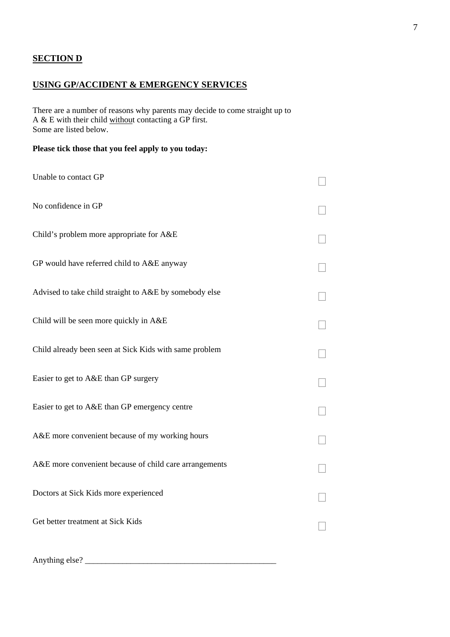## **SECTION D**

## **USING GP/ACCIDENT & EMERGENCY SERVICES**

There are a number of reasons why parents may decide to come straight up to A & E with their child without contacting a GP first. Some are listed below.

### **Please tick those that you feel apply to you today:**

| Unable to contact GP                                   |  |
|--------------------------------------------------------|--|
| No confidence in GP                                    |  |
| Child's problem more appropriate for A&E               |  |
| GP would have referred child to A&E anyway             |  |
| Advised to take child straight to A&E by somebody else |  |
| Child will be seen more quickly in A&E                 |  |
| Child already been seen at Sick Kids with same problem |  |
| Easier to get to A&E than GP surgery                   |  |
| Easier to get to A&E than GP emergency centre          |  |
| A&E more convenient because of my working hours        |  |
| A&E more convenient because of child care arrangements |  |
| Doctors at Sick Kids more experienced                  |  |
| Get better treatment at Sick Kids                      |  |
|                                                        |  |

Anything else? \_\_\_\_\_\_\_\_\_\_\_\_\_\_\_\_\_\_\_\_\_\_\_\_\_\_\_\_\_\_\_\_\_\_\_\_\_\_\_\_\_\_\_\_\_\_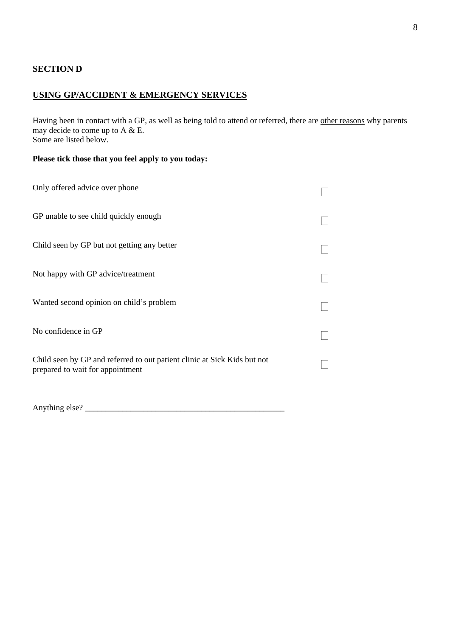#### **SECTION D**

#### **USING GP/ACCIDENT & EMERGENCY SERVICES**

Having been in contact with a GP, as well as being told to attend or referred, there are other reasons why parents may decide to come up to  $A \& B$ . Some are listed below.

#### **Please tick those that you feel apply to you today:**

| Only offered advice over phone                                                                               |  |
|--------------------------------------------------------------------------------------------------------------|--|
| GP unable to see child quickly enough                                                                        |  |
| Child seen by GP but not getting any better                                                                  |  |
| Not happy with GP advice/treatment                                                                           |  |
| Wanted second opinion on child's problem                                                                     |  |
| No confidence in GP                                                                                          |  |
| Child seen by GP and referred to out patient clinic at Sick Kids but not<br>prepared to wait for appointment |  |

Anything else? \_\_\_\_\_\_\_\_\_\_\_\_\_\_\_\_\_\_\_\_\_\_\_\_\_\_\_\_\_\_\_\_\_\_\_\_\_\_\_\_\_\_\_\_\_\_\_\_